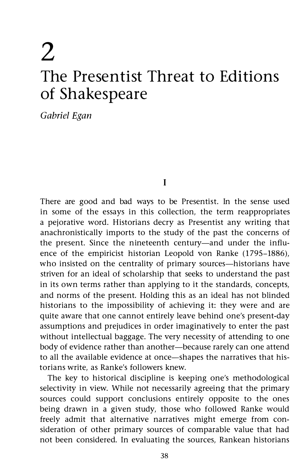# 2 The Presentist Threat to Editions of Shakespeare

Gabriel Egan

## I

There are good and bad ways to be Presentist. In the sense used in some of the essays in this collection, the term reappropriates a pejorative word. Historians decry as Presentist any writing that anachronistically imports to the study of the past the concerns of the present. Since the nineteenth century-and under the influence of the empiricist historian Leopold von Ranke (1795–1886), who insisted on the centrality of primary sources-historians have striven for an ideal of scholarship that seeks to understand the past in its own terms rather than applying to it the standards, concepts, and norms of the present. Holding this as an ideal has not blinded historians to the impossibility of achieving it: they were and are quite aware that one cannot entirely leave behind one's present-day assumptions and prejudices in order imaginatively to enter the past without intellectual baggage. The very necessity of attending to one body of evidence rather than another-because rarely can one attend to all the available evidence at once-shapes the narratives that historians write, as Ranke's followers knew.

The key to historical discipline is keeping one's methodological selectivity in view. While not necessarily agreeing that the primary sources could support conclusions entirely opposite to the ones being drawn in a given study, those who followed Ranke would freely admit that alternative narratives might emerge from consideration of other primary sources of comparable value that had not been considered. In evaluating the sources, Rankean historians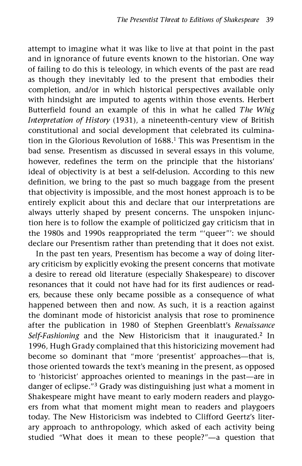attempt to imagine what it was like to live at that point in the past and in ignorance of future events known to the historian. One way of failing to do this is teleology, in which events of the past are read as though they inevitably led to the present that embodies their completion, and/or in which historical perspectives available only with hindsight are imputed to agents within those events. Herbert Butterfield found an example of this in what he called The Whig Interpretation of History (1931), a nineteenth-century view of British constitutional and social development that celebrated its culmination in the Glorious Revolution of 1688.<sup>1</sup> This was Presentism in the bad sense. Presentism as discussed in several essays in this volume, however, redefines the term on the principle that the historians' ideal of objectivity is at best a self-delusion. According to this new definition, we bring to the past so much baggage from the present that objectivity is impossible, and the most honest approach is to be entirely explicit about this and declare that our interpretations are always utterly shaped by present concerns. The unspoken injunction here is to follow the example of politicized gay criticism that in the 1980s and 1990s reappropriated the term "'queer"': we should declare our Presentism rather than pretending that it does not exist.

In the past ten years, Presentism has become a way of doing literary criticism by explicitly evoking the present concerns that motivate a desire to reread old literature (especially Shakespeare) to discover resonances that it could not have had for its first audiences or readers, because these only became possible as a consequence of what happened between then and now. As such, it is a reaction against the dominant mode of historicist analysis that rose to prominence after the publication in 1980 of Stephen Greenblatt's Renaissance Self-Fashioning and the New Historicism that it inaugurated.<sup>2</sup> In 1 996, Hugh Grady complained that this historicizing movement had become so dominant that "more 'presentist' approaches-that is, those oriented towards the text's meaning in the present, as opposed to 'historicist' approaches oriented to meanings in the past-are in danger of eclipse."<sup>3</sup> Grady was distinguishing just what a moment in Shakespeare might have meant to early modern readers and playgoers from what that moment might mean to readers and playgoers today. The New Historicism was indebted to Clifford Geertz's literary approach to anthropology, which asked of each activity being studied "What does it mean to these people?"-a question that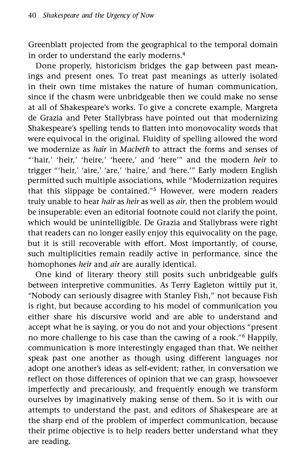Greenblatt projected from the geographical to the temporal domain in order to understand the early moderns.4

Done properly, historicism bridges the gap between past meanings and present ones. To treat past meanings as utterly isolated in their own time mistakes the nature of human communication, since if the chasm were unbridgeable then we could make no sense at all of Shakespeare's works. To give a concrete example, Margreta de Grazia and Peter Stallybrass have pointed out that modernizing Shakespeare's spelling tends to flatten into monovocality words that were equivocal in the original. Fluidity of spelling allowed the word we modernize as hair in Macbeth to attract the forms and senses of "'hair,' 'heir,' 'heire,' 'heere,' and 'here'" and the modern *heir* to trigger "'heir,' 'aire,' 'are,' 'haire,' and 'here.'" Early modern English permitted such multiple associations, while "Modernization requires that this slippage be contained."5 However, were modern readers truly unable to hear *hair* as *heir* as well as *air*, then the problem would be insuperable: even an editorial footnote could not clarify the point, which would be unintelligible. De Grazia and Stallybrass were right that readers can no longer easily enjoy this equivocality on the page, but it is still recoverable with effort. Most importantly, of course, such multiplicities remain readily active in performance, since the homophones heir and air are aurally identical.

One kind of literary theory still posits such unbridgeable gulfs between interpretive communities. As Terry Eagleton wittily put it, "Nobody can seriously disagree with Stanley Fish," not because Fish is right, but because according to his model of communication you either share his discursive world and are able to understand and accept what he is saying, or you do not and your objections "present no more challenge to his case than the cawing of a rook."6 Happily, communication is more interestingly engaged than that. We neither speak past one another as though using different languages nor adopt one another's ideas as self-evident; rather, in conversation we reflect on those differences of opinion that we can grasp, howsoever imperfectly and precariously, and frequently enough we transform ourselves by imaginatively making sense of them. So it is with our attempts to understand the past, and editors of Shakespeare are at the sharp end of the problem of imperfect communication, because their prime objective is to help readers better understand what they are reading.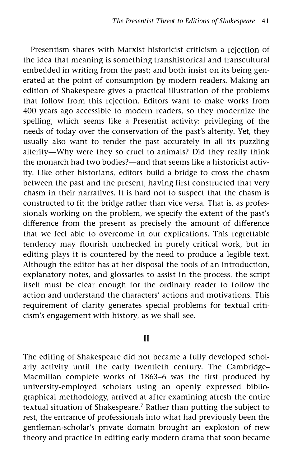Presentism shares with Marxist historicist criticism a rejection of the idea that meaning is something transhistorical and transcultural embedded in writing from the past; and both insist on its being generated at the point of consumption by modern readers. Making an edition of Shakespeare gives a practical illustration of the problems that follow from this rejection. Editors want to make works from 400 years ago accessible to modern readers, so they modernize the spelling, which seems like a Presentist activity: privileging of the needs of today over the conservation of the past's alterity. Yet, they usually also want to render the past accurately in all its puzzling alterity-Why were they so cruel to animals? Did they really think the monarch had two bodies?—and that seems like a historicist activity. Like other historians, editors build a bridge to cross the chasm between the past and the present, having first constructed that very chasm in their narratives. It is hard not to suspect that the chasm is constructed to fit the bridge rather than vice versa. That is, as professionals working on the problem, we specify the extent of the past's difference from the present as precisely the amount of difference that we feel able to overcome in our explications. This regrettable tendency may flourish unchecked in purely critical work, but in editing plays it is countered by the need to produce a legible text. Although the editor has at her disposal the tools of an introduction, explanatory notes, and glossaries to assist in the process, the script itself must be clear enough for the ordinary reader to follow the action and understand the characters' actions and motivations. This requirement of clarity generates special problems for textual criticism's engagement with history, as we shall see.

## 11

The editing of Shakespeare did not became a fully developed scholarly activity until the early twentieth century. The Cambridge-Macmillan complete works of 1863-6 was the first produced by university-employed scholars using an openly expressed bibliographical methodology, arrived at after examining afresh the entire textual situation of Shakespeare.<sup>7</sup> Rather than putting the subject to rest, the entrance of professionals into what had previously been the gentleman-scholar's private domain brought an explosion of new theory and practice in editing early modern drama that soon became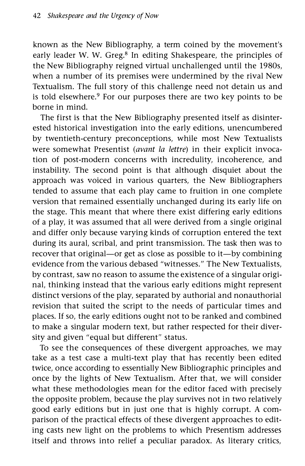known as the New Bibliography, a term coined by the movement's early leader W. W. Greg.<sup>8</sup> In editing Shakespeare, the principles of the New Bibliography reigned virtual unchallenged until the 1980s, when a number of its premises were undermined by the rival New Textualism. The full story of this challenge need not detain us and is told elsewhere.<sup>9</sup> For our purposes there are two key points to be borne in mind.

The first is that the New Bibliography presented itself as disinterested historical investigation into the early editions, unencumbered by twentieth-century preconceptions, while most New Textualists were somewhat Presentist (avant la lettre) in their explicit invocation of post-modern concerns with incredulity, incoherence, and instability. The second point is that although disquiet about the approach was voiced in various quarters, the New Bibliographers tended to assume that each play came to fruition in one complete version that remained essentially unchanged during its early life on the stage. This meant that where there exist differing early editions of a play, it was assumed that all were derived from a single original and differ only because varying kinds of corruption entered the text during its aural, scribal, and print transmission. The task then was to recover that original—or get as close as possible to it—by combining evidence from the various debased "witnesses." The New Textualists, by contrast, saw no reason to assume the existence of a singular original, thinking instead that the various early editions might represent distinct versions of the play, separated by authorial and nonauthorial revision that suited the script to the needs of particular times and places. If so, the early editions ought not to be ranked and combined to make a singular modern text, but rather respected for their diversity and given "equal but different" status.

To see the consequences of these divergent approaches, we may take as a test case a multi-text play that has recently been edited twice, once according to essentially New Bibliographic principles and once by the lights of New Textualism. After that, we will consider what these methodologies mean for the editor faced with precisely the opposite problem, because the play survives not in two relatively good early editions but in just one that is highly corrupt. A comparison of the practical effects of these divergent approaches to editing casts new light on the problems to which Presentism addresses itself and throws into relief a peculiar paradox. As literary critics,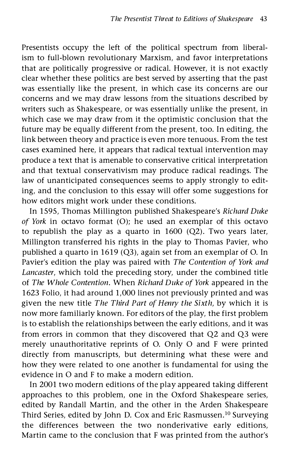Presentists occupy the left of the political spectrum from liberalism to full-blown revolutionary Marxism, and favor interpretations that are politically progressive or radical. However, it is not exactly clear whether these politics are best served by asserting that the past was essentially like the present, in which case its concerns are our concerns and we may draw lessons from the situations described by writers such as Shakespeare, or was essentially unlike the present, in which case we may draw from it the optimistic conclusion that the future may be equally different from the present, too. In editing, the link between theory and practice is even more tenuous. From the test cases examined here, it appears that radical textual intervention may produce a text that is amenable to conservative critical interpretation and that textual conservativism may produce radical readings. The law of unanticipated consequences seems to apply strongly to editing, and the conclusion to this essay will offer some suggestions for how editors might work under these conditions.

In 1 595, Thomas Millington published Shakespeare's Richard Duke of York in octavo format  $(O)$ ; he used an exemplar of this octavo to republish the play as a quarto in  $1600$  (Q2). Two years later, Millington transferred his rights in the play to Thomas Pavier, who published a quarto in 1619 (Q3), again set from an exemplar of 0. In Pavier's edition the play was paired with The Contention of York and Lancaster, which told the preceding story, under the combined title of The Whole Contention. When Richard Duke of York appeared in the 1 623 Folio, it had around 1,000 lines not previously printed and was given the new title The Third Part of Hemy the Sixth, by which it is now more familiarly known. For editors of the play, the first problem is to establish the relationships between the early editions, and it was from errors in common that they discovered that Q2 and Q3 were merely unauthoritative reprints of 0. Only 0 and F were printed directly from manuscripts, but determining what these were and how they were related to one another is fundamental for using the evidence in 0 and F to make a modern edition.

In 2001 two modern editions of the play appeared taking different approaches to this problem, one in the Oxford Shakespeare series, edited by Randall Martin, and the other in the Arden Shakespeare Third Series, edited by John D. Cox and Eric Rasmussen. 10 Surveying the differences between the two nonderivative early editions, Martin came to the conclusion that F was printed from the author's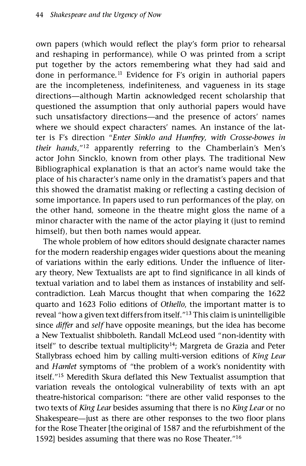own papers (which would reflect the play's form prior to rehearsal and reshaping in performance), while 0 was printed from a script put together by the actors remembering what they had said and done in performance. 11 Evidence for F's origin in authorial papers are the incompleteness, indefiniteness, and vagueness in its stage directions-although Martin acknowledged recent scholarship that questioned the assumption that only authorial papers would have such unsatisfactory directions-and the presence of actors' names where we should expect characters' names. An instance of the latter is F's direction "Enter Sinklo and Humfrey, with Crosse-bowes in their hands,"12 apparently referring to the Chamberlain's Men's actor John Sincklo, known from other plays. The traditional New Bibliographical explanation is that an actor's name would take the place of his character's name only in the dramatist's papers and that this showed the dramatist making or reflecting a casting decision of some importance. In papers used to run performances of the play, on the other hand, someone in the theatre might gloss the name of a minor character with the name of the actor playing it (just to remind himself), but then both names would appear.

The whole problem of how editors should designate character names for the modern readership engages wider questions about the meaning of variations within the early editions. Under the influence of literary theory, New Textualists are apt to find significance in all kinds of textual variation and to label them as instances of instability and selfcontradiction. Leah Marcus thought that when comparing the 1622 quarto and 1623 Folio editions of Othello, the important matter is to reveal "how a given text differs from itself."13 This claim is unintelligible since differ and self have opposite meanings, but the idea has become a New Textualist shibboleth. Randall McLeod used "non-identity with itself" to describe textual multiplicity<sup>14</sup>; Margreta de Grazia and Peter Stallybrass echoed him by calling multi-version editions of King Lear and Hamlet symptoms of "the problem of a work's nonidentity with itself." 15 Meredith Skura deflated this New Textualist assumption that variation reveals the ontological vulnerability of texts with an apt theatre-historical comparison: "there are other valid responses to the two texts of King Lear besides assuming that there is no King Lear or no Shakespeare-just as there are other responses to the two floor plans for the Rose Theater [the original of 1587 and the refurbishment of the 1592] besides assuming that there was no Rose Theater."16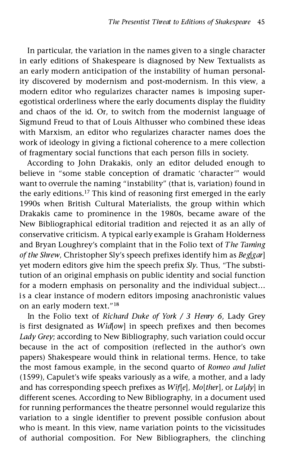In particular, the variation in the names given to a single character in early editions of Shakespeare is diagnosed by New Textualists as an early modern anticipation of the instability of human personality discovered by modernism and post-modernism. In this view, a modern editor who regularizes character names is imposing superegotistical orderliness where the early documents display the fluidity and chaos of the id. Or, to switch from the modernist language of Sigmund Freud to that of Louis Althusser who combined these ideas with Marxism, an editor who regularizes character names does the work of ideology in giving a fictional coherence to a mere collection of fragmentary social functions that each person fills in society.

According to John Drakakis, only an editor deluded enough to believe in "some stable conception of dramatic 'character'" would want to overrule the naming "instability" (that is, variation) found in the early editions.<sup>17</sup> This kind of reasoning first emerged in the early 1 990s when British Cultural Materialists, the group within which Drakakis came to prominence in the 1980s, became aware of the New Bibliographical editorial tradition and rejected it as an ally of conservative criticism. A typical early example is Graham Holderness and Bryan Loughrey's complaint that in the Folio text of The Taming of the Shrew, Christopher Sly's speech prefixes identify him as Begjgar] yet modern editors give him the speech prefix Sly. Thus, "The substitution of an original emphasis on public identity and social function for a modern emphasis on personality and the individual subject... is a clear instance of modern editors imposing anachronistic values on an early modern text." 18

In the Folio text of Richard Duke of York  $/$  3 Henry 6, Lady Grey is first designated as *Wid*[ow] in speech prefixes and then becomes Lady Grey; according to New Bibliography, such variation could occur because in the act of composition (reflected in the author's own papers) Shakespeare would think in relational terms. Hence, to take the most famous example, in the second quarto of Romeo and Juliet (1599), Capulet's wife speaks variously as a wife, a mother, and a lady and has corresponding speech prefixes as  $Wif[e]$ ,  $Mo[ther]$ , or  $La[dy]$  in different scenes. According to New Bibliography, in a document used for running performances the theatre personnel would regularize this variation to a single identifier to prevent possible confusion about who is meant. In this view, name variation points to the vicissitudes of authorial composition. For New Bibliographers, the clinching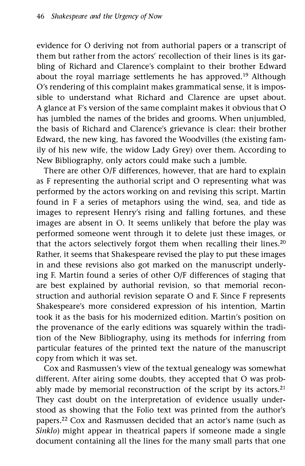evidence for 0 deriving not from authorial papers or a transcript of them but rather from the actors' recollection of their lines is its garbling of Richard and Clarence's complaint to their brother Edward about the royal marriage settlements he has approved.<sup>19</sup> Although O's rendering of this complaint makes grammatical sense, it is impossible to understand what Richard and Clarence are upset about. A glance at F's version of the same complaint makes it obvious that 0 has jumbled the names of the brides and grooms. When unjumbled, the basis of Richard and Clarence's grievance is clear: their brother Edward, the new king, has favored the Woodvilles (the existing family of his new wife, the widow Lady Grey) over them. According to New Bibliography, only actors could make such a jumble.

There are other 0/F differences, however, that are hard to explain as F representing the authorial script and 0 representing what was performed by the actors working on and revising this script. Martin found in F a series of metaphors using the wind, sea, and tide as images to represent Henry's rising and falling fortunes, and these images are absent in 0. It seems unlikely that before the play was performed someone went through it to delete just these images, or that the actors selectively forgot them when recalling their lines.<sup>20</sup> Rather, it seems that Shakespeare revised the play to put these images in and these revisions also got marked on the manuscript underlying F. Martin found a series of other 0/F differences of staging that are best explained by authorial revision, so that memorial reconstruction and authorial revision separate 0 and F. Since F represents Shakespeare's more considered expression of his intention, Martin took it as the basis for his modernized edition. Martin's position on the provenance of the early editions was squarely within the tradition of the New Bibliography, using its methods for inferring from particular features of the printed text the nature of the manuscript copy from which it was set.

Cox and Rasmussen's view of the textual genealogy was somewhat different. After airing some doubts, they accepted that O was probably made by memorial reconstruction of the script by its actors.<sup>21</sup> They cast doubt on the interpretation of evidence usually understood as showing that the Folio text was printed from the author's papers.22 Cox and Rasmussen decided that an actor's name (such as Sinklo) might appear in theatrical papers if someone made a single document containing all the lines for the many small parts that one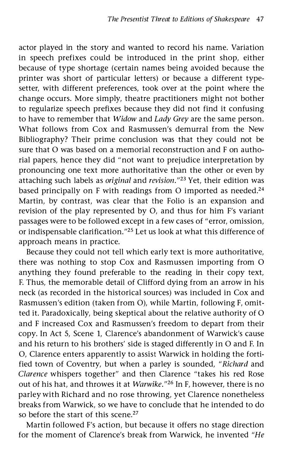actor played in the story and wanted to record his name. Variation in speech prefixes could be introduced in the print shop, either because of type shortage (certain names being avoided because the printer was short of particular letters) or because a different typesetter, with different preferences, took over at the point where the change occurs. More simply, theatre practitioners might not bother to regularize speech prefixes because they did not find it confusing to have to remember that Widow and Lady Grey are the same person. What follows from Cox and Rasmussen's demurral from the New Bibliography? Their prime conclusion was that they could not be sure that 0 was based on a memorial reconstruction and F on authorial papers, hence they did " not want to prejudice interpretation by pronouncing one text more authoritative than the other or even by attaching such labels as *original* and *revision*."<sup>23</sup> Yet, their edition was based principally on F with readings from O imported as needed.<sup>24</sup> Martin, by contrast, was clear that the Folio is an expansion and revision of the play represented by 0, and thus for him F's variant passages were to be followed except in a few cases of "error, omission, or indispensable clarification."25 Let us look at what this difference of approach means in practice.

Because they could not tell which early text is more authoritative, there was nothing to stop Cox and Rasmussen importing from 0 anything they found preferable to the reading in their copy text, F. Thus, the memorable detail of Clifford dying from an arrow in his neck (as recorded in the historical sources) was included in Cox and Rasmussen's edition (taken from 0), while Martin, following F, omitted it. Paradoxically, being skeptical about the relative authority of O and F increased Cox and Rasmussen's freedom to depart from their copy. In Act 5, Scene 1, Clarence's abandonment of Warwick's cause and his return to his brothers' side is staged differently in 0 and F. In 0, Clarence enters apparently to assist Warwick in holding the fortified town of Coventry, but when a parley is sounded, "Richard and Clarence whispers together" and then Clarence "takes his red Rose out of his hat, and throwes it at Warwike. "26 In F, however, there is no parley with Richard and no rose throwing, yet Clarence nonetheless breaks from Warwick, so we have to conclude that he intended to do so before the start of this scene.<sup>27</sup>

Martin followed F's action, but because it offers no stage direction for the moment of Clarence's break from Warwick, he invented "He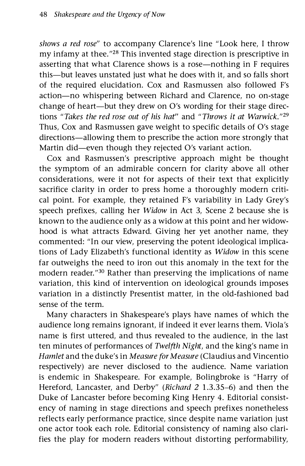shows a red rose" to accompany Clarence's line "Look here, I throw my infamy at thee."28 This invented stage direction is prescriptive in asserting that what Clarence shows is a rose-nothing in F requires this-but leaves unstated just what he does with it, and so falls short of the required elucidation. Cox and Rasmussen also followed F's action-no whispering between Richard and Clarence, no on-stage change of heart-but they drew on O's wording for their stage directions "Takes the red rose out of his hat" and "Throws it at Warwick."<sup>29</sup> Thus, Cox and Rasmussen gave weight to specific details of O's stage directions-allowing them to prescribe the action more strongly that Martin did—even though they rejected O's variant action.

Cox and Rasmussen's prescriptive approach might be thought the symptom of an admirable concern for clarity above all other considerations, were it not for aspects of their text that explicitly sacrifice clarity in order to press home a thoroughly modern critical point. For example, they retained F's variability in Lady Grey's speech prefixes, calling her Widow in Act 3, Scene 2 because she is known to the audience only as a widow at this point and her widowhood is what attracts Edward. Giving her yet another name, they commented: "In our view, preserving the potent ideological implications of Lady Elizabeth's functional identity as Widow in this scene far outweighs the need to iron out this anomaly in the text for the modern reader."30 Rather than preserving the implications of name variation, this kind of intervention on ideological grounds imposes variation in a distinctly Presentist matter, in the old-fashioned bad sense of the term.

Many characters in Shakespeare's plays have names of which the audience long remains ignorant, if indeed it ever learns them. Viola 's name is first uttered, and thus revealed to the audience, in the last ten minutes of performances of Twelfth Night, and the king's name in Hamlet and the duke's in Measure for Measure (Claudius and Vincentio respectively) are never disclosed to the audience. Name variation is endemic in Shakespeare. For example, Bolingbroke is "Harry of Hereford, Lancaster, and Derby" (Richard 2 1.3.35-6) and then the Duke of Lancaster before becoming King Henry 4. Editorial consistency of naming in stage directions and speech prefixes nonetheless reflects early performance practice, since despite name variation just one actor took each role. Editorial consistency of naming also clarifies the play for modern readers without distorting performability,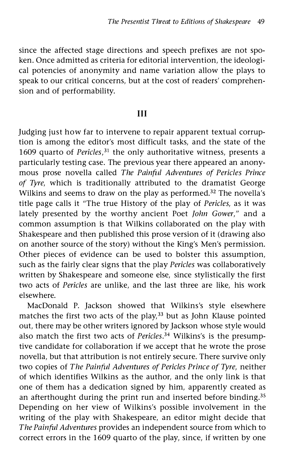since the affected stage directions and speech prefixes are not spoken. Once admitted as criteria for editorial intervention, the ideological potencies of anonymity and name variation allow the plays to speak to our critical concerns, but at the cost of readers' comprehension and of performability.

#### Ill

Judging just how far to intervene to repair apparent textual corruption is among the editor's most difficult tasks, and the state of the 1609 quarto of Pericles,  $31$  the only authoritative witness, presents a particularly testing case. The previous year there appeared an anonymous prose novella called The Painful Adventures of Pericles Prince of Tyre, which is traditionally attributed to the dramatist George Wilkins and seems to draw on the play as performed.<sup>32</sup> The novella's title page calls it "The true History of the play of Pericles, as it was lately presented by the worthy ancient Poet John Gower," and a common assumption is that Wilkins collaborated on the play with Shakespeare and then published this prose version of it (drawing also on another source of the story) without the King's Men's permission. Other pieces of evidence can be used to bolster this assumption, such as the fairly clear signs that the play Pericles was collaboratively written by Shakespeare and someone else, since stylistically the first two acts of Pericles are unlike, and the last three are like, his work elsewhere.

MacDonald P. Jackson showed that Wilkins's style elsewhere matches the first two acts of the play,<sup>33</sup> but as John Klause pointed out, there may be other writers ignored by Jackson whose style would also match the first two acts of Pericles.<sup>34</sup> Wilkins's is the presumptive candidate for collaboration if we accept that he wrote the prose novella, but that attribution is not entirely secure. There survive only two copies of The Painful Adventures of Pericles Prince of Tyre, neither of which identifies Wilkins as the author, and the only link is that one of them has a dedication signed by him, apparently created as an afterthought during the print run and inserted before binding.<sup>35</sup> Depending on her view of Wilkins's possible involvement in the writing of the play with Shakespeare, an editor might decide that The Painful Adventures provides an independent source from which to correct errors in the 1609 quarto of the play, since, if written by one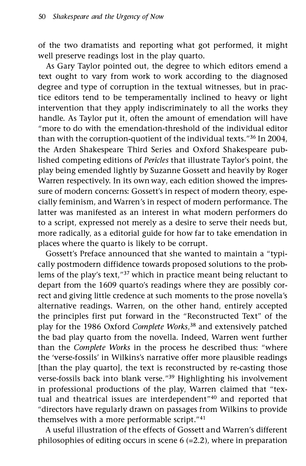of the two dramatists and reporting what got performed, it might well preserve readings lost in the play quarto.

As Gary Taylor pointed out, the degree to which editors emend a text ought to vary from work to work according to the diagnosed degree and type of corruption in the textual witnesses, but in practice editors tend to be temperamentally inclined to heavy or light intervention that they apply indiscriminately to all the works they handle. As Taylor put it, often the amount of emendation will have "more to do with the emendation-threshold of the individual editor than with the corruption-quotient of the individual texts. "36 In 2004, the Arden Shakespeare Third Series and Oxford Shakespeare published competing editions of Pericles that illustrate Taylor's point, the play being emended lightly by Suzanne Gossett and heavily by Roger Warren respectively. In its own way, each edition showed the impressure of modern concerns: Gossett's in respect of modern theory, especially feminism, and Warren's in respect of modern performance. The latter was manifested as an interest in what modern performers do to a script, expressed not merely as a desire to serve their needs but, more radically, as a editorial guide for how far to take emendation in places where the quarto is likely to be corrupt.

Gossett's Preface announced that she wanted to maintain a "typically postmodern diffidence towards proposed solutions to the problems of the play's text,"<sup>37</sup> which in practice meant being reluctant to depart from the 1609 quarto's readings where they are possibly correct and giving little credence at such moments to the prose novella's alternative readings. Warren, on the other hand, entirely accepted the principles first put forward in the "Reconstructed Text" of the play for the 1986 Oxford Complete Works,<sup>38</sup> and extensively patched the bad play quarto from the novella. Indeed, Warren went further than the Complete Works in the process he described thus: "where the 'verse-fossils' in Wilkins's narrative offer more plausible readings [than the play quarto], the text is reconstructed by re-casting those verse-fossils back into blank verse."<sup>39</sup> Highlighting his involvement in professional productions of the play, Warren claimed that "textual and theatrical issues are interdependent"40 and reported that "directors have regularly drawn on passages from Wilkins to provide themselves with a more performable script."41

A useful illustration of the effects of Gossett and Warren's different philosophies of editing occurs in scene 6 (=2.2), where in preparation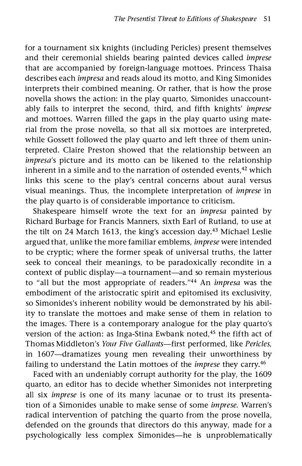for a tournament six knights (including Pericles) present themselves and their ceremonial shields bearing painted devices called imprese that are accompanied by foreign-language mottoes. Princess Thaisa describes each impresa and reads aloud its motto, and King Simonides interprets their combined meaning. Or rather, that is how the prose novella shows the action: in the play quarto, Simonides unaccountably fails to interpret the second, third, and fifth knights' imprese and mottoes. Warren filled the gaps in the play quarto using material from the prose novella, so that all six mottoes are interpreted, while Gossett followed the play quarto and left three of them uninterpreted. Claire Preston showed that the relationship between an impresa's picture and its motto can be likened to the relationship inherent in a simile and to the narration of ostended events.<sup>42</sup> which links this scene to the play's central concerns about aural versus visual meanings. Thus, the incomplete interpretation of imprese in the play quarto is of considerable importance to criticism.

Shakespeare himself wrote the text for an impresa painted by Richard Burbage for Francis Manners, sixth Earl of Rutland, to use at the tilt on 24 March 1613, the king's accession day.<sup>43</sup> Michael Leslie argued that, unlike the more familiar emblems, imprese were intended to be cryptic; where the former speak of universal truths, the latter seek to conceal their meanings, to be paradoxically recondite in a context of public display-a tournament-and so remain mysterious to "all but the most appropriate of readers."44 An impresa was the embodiment of the aristocratic spirit and epitomised its exclusivity, so Simonides's inherent nobility would be demonstrated by his ability to translate the mottoes and make sense of them in relation to the images. There is a contemporary analogue for the play quarto's version of the action: as Inga-Stina Ewbank noted,<sup>45</sup> the fifth act of Thomas Middleton's Your Five Gallants-first performed, like Pericles, in 1607-dramatizes young men revealing their unworthiness by failing to understand the Latin mottoes of the *imprese* they carry.<sup>46</sup>

Faced with an undeniably corrupt authority for the play, the 1609 quarto, an editor has to decide whether Simonides not interpreting all six *imprese* is one of its many lacunae or to trust its presentation of a Simonides unable to make sense of some imprese. Warren's radical intervention of patching the quarto from the prose novella, defended on the grounds that directors do this anyway, made for a psychologically less complex Simonides-he is unproblematically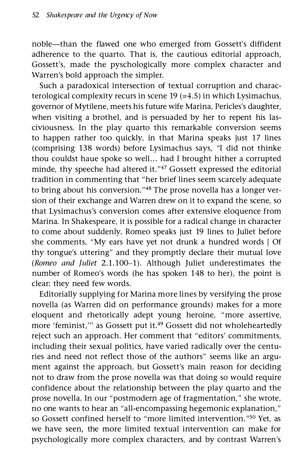noble-than the flawed one who emerged from Gossett's diffident adherence to the quarto. That is, the cautious editorial approach, Gossett's, made the pyschologically more complex character and Warren's bold approach the simpler.

Such a paradoxical intersection of textual corruption and characterological complexity recurs in scene 19 (=4.5) in which Lysimachus, governor of Mytilene, meets his future wife Marina, Pericles's daughter, when visiting a brothel, and is persuaded by her to repent his lasciviousness. In the play quarto this remarkable conversion seems to happen rather too quickly, in that Marina speaks just 17 lines (comprising 138 words) before Lysimachus says, "I did not thinke thou couldst haue spoke so well... had I brought hither a corrupted minde, thy speeche had altered it. "47 Gossett expressed the editorial tradition in commenting that "her brief lines seem scarcely adequate to bring about his conversion."48 The prose novella has a longer version of their exchange and Warren drew on it to expand the scene, so that Lysimachus's conversion comes after extensive eloquence from Marina. In Shakespeare, it is possible for a radical change in character to come about suddenly. Romeo speaks just 19 lines to Juliet before she comments, "My ears have yet not drunk a hundred words | Of thy tongue's uttering" and they promptly declare their mutual love (Romeo and Juliet 2.1 .100-1). Although Juliet underestimates the number of Romeo's words (he has spoken 148 to her), the point is clear: they need few words.

Editorially supplying for Marina more lines by versifying the prose novella (as Warren did on performance grounds) makes for a more eloquent and rhetorically adept young heroine, " more assertive, more 'feminist,'" as Gossett put it.<sup>49</sup> Gossett did not wholeheartedly reject such an approach. Her comment that "editors' commitments, including their sexual politics, have varied radically over the centuries and need not reflect those of the authors" seems like an argument against the approach, but Gossett's main reason for deciding not to draw from the prose novella was that doing so would require confidence about the relationship between the play quarto and the prose novella. In our "postmodern age of fragmentation," she wrote, no one wants to hear an "all-encompassing hegemonic explanation," so Gossett confined herself to "more limited intervention."50 Yet, as we have seen, the more limited textual intervention can make for psychologically more complex characters, and by contrast Warren's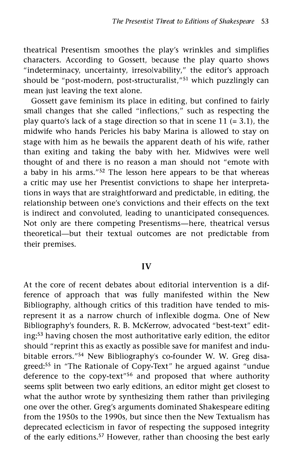theatrical Presentism smoothes the play's wrinkles and simplifies characters. According to Gossett, because the play quarto shows " indeterminacy, uncertainty, irresolvability," the editor's approach should be "post-modern, post-structuralist,"<sup>51</sup> which puzzlingly can mean just leaving the text alone.

Gossett gave feminism its place in editing, but confined to fairly small changes that she called "inflections," such as respecting the play quarto's lack of a stage direction so that in scene  $11 (= 3.1)$ , the midwife who hands Pericles his baby Marina is allowed to stay on stage with him as he bewails the apparent death of his wife, rather than exiting and taking the baby with her. Midwives were well thought of and there is no reason a man should not "emote with a baby in his arms."<sup>52</sup> The lesson here appears to be that whereas a critic may use her Presentist convictions to shape her interpretations in ways that are straightforward and predictable, in editing, the relationship between one's convictions and their effects on the text is indirect and convoluted, leading to unanticipated consequences. Not only are there competing Presentisms-here, theatrical versus theoretical-but their textual outcomes are not predictable from their premises.

#### IV

At the core of recent debates about editorial intervention is a difference of approach that was fully manifested within the New Bibliography, although critics of this tradition have tended to misrepresent it as a narrow church of inflexible dogma. One of New Bibliography's founders, R. B. McKerrow, advocated "best-text" editing:53 having chosen the most authoritative early edition, the editor should "reprint this as exactly as possible save for manifest and indubitable errors."<sup>54</sup> New Bibliography's co-founder W. W. Greg disagreed:55 in "The Rationale of Copy-Text" he argued against "undue deference to the copy-text"56 and proposed that where authority seems split between two early editions, an editor might get closest to what the author wrote by synthesizing them rather than privileging one over the other. Greg's arguments dominated Shakespeare editing from the 1950s to the 1990s, but since then the New Textualism has deprecated eclecticism in favor of respecting the supposed integrity of the early editions.<sup>57</sup> However, rather than choosing the best early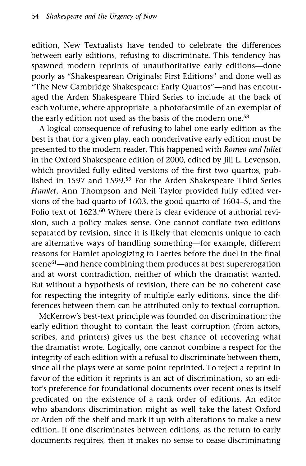edition, New Textualists have tended to celebrate the differences between early editions, refusing to discriminate. This tendency has spawned modern reprints of unauthoritative early editions-done poorly as "Shakespearean Originals: First Editions" and done well as "The New Cambridge Shakespeare: Early Quartos"-and has encouraged the Arden Shakespeare Third Series to include at the back of each volume, where appropriate, a photofacsimile of an exemplar of the early edition not used as the basis of the modern one.<sup>58</sup>

A logical consequence of refusing to label one early edition as the best is that for a given play, each nonderivative early edition must be presented to the modern reader. This happened with Romeo and Juliet in the Oxford Shakespeare edition of 2000, edited by Jill L. Levenson, which provided fully edited versions of the first two quartos, published in 1597 and 1599.<sup>59</sup> For the Arden Shakespeare Third Series Hamlet, Ann Thompson and Neil Taylor provided fully edited versions of the bad quarto of 1603, the good quarto of 1604–5, and the Folio text of 1623.<sup>60</sup> Where there is clear evidence of authorial revision, such a policy makes sense. One cannot conflate two editions separated by revision, since it is likely that elements unique to each are alternative ways of handling something-for example, different reasons for Hamlet apologizing to Laertes before the duel in the final scene<sup>61</sup>—and hence combining them produces at best supererogation and at worst contradiction, neither of which the dramatist wanted. But without a hypothesis of revision, there can be no coherent case for respecting the integrity of multiple early editions, since the differences between them can be attributed only to textual corruption.

McKerrow's best-text principle was founded on discrimination: the early edition thought to contain the least corruption (from actors, scribes, and printers) gives us the best chance of recovering what the dramatist wrote. Logically, one cannot combine a respect for the integrity of each edition with a refusal to discriminate between them, since all the plays were at some point reprinted. To reject a reprint in favor of the edition it reprints is an act of discrimination, so an editor's preference for foundational documents over recent ones is itself predicated on the existence of a rank order of editions. An editor who abandons discrimination might as well take the latest Oxford or Arden off the shelf and mark it up with alterations to make a new edition. If one discriminates between editions, as the return to early documents requires, then it makes no sense to cease discriminating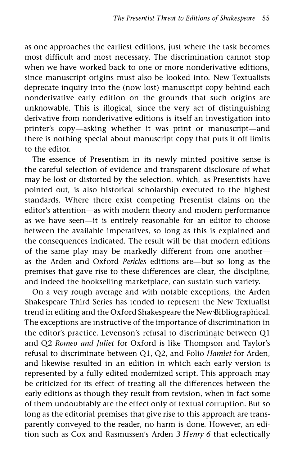as one approaches the earliest editions, just where the task becomes most difficult and most necessary. The discrimination cannot stop when we have worked back to one or more nonderivative editions, since manuscript origins must also be looked into. New Textualists deprecate inquiry into the (now lost) manuscript copy behind each nonderivative early edition on the grounds that such origins are unknowable. This is illogical, since the very act of distinguishing derivative from nonderivative editions is itself an investigation into printer's copy-asking whether it was print or manuscript-and there is nothing special about manuscript copy that puts it off limits to the editor.

The essence of Presentism in its newly minted positive sense is the careful selection of evidence and transparent disclosure of what may be lost or distorted by the selection, which, as Presentists have pointed out, is also historical scholarship executed to the highest standards. Where there exist competing Presentist claims on the editor's attention-as with modern theory and modern performance as we have seen-it is entirely reasonable for an editor to choose between the available imperatives, so long as this is explained and the consequences indicated. The result will be that modern editions of the same play may be markedly different from one anotheras the Arden and Oxford Pericles editions are—but so long as the premises that gave rise to these differences are clear, the discipline, and indeed the bookselling marketplace, can sustain such variety.

On a very rough average and with notable exceptions, the Arden Shakespeare Third Series has tended to represent the New Textualist trend in editing and the Oxford Shakespeare the New-Bibliographical. The exceptions are instructive of the importance of discrimination in the editor's practice. Levenson's refusal to discriminate between Q1 and Q2 Romeo and Juliet for Oxford is like Thompson and Taylor's refusal to discriminate between Ql, Q2, and Folio Hamlet for Arden, and likewise resulted in an edition in which each early version is represented by a fully edited modernized script. This approach may be criticized for its effect of treating all the differences between the early editions as though they result from revision, when in fact some of them undoubtably are the effect only of textual corruption. But so long as the editorial premises that give rise to this approach are transparently conveyed to the reader, no harm is done. However, an edition such as Cox and Rasmussen's Arden 3 Henry 6 that eclectically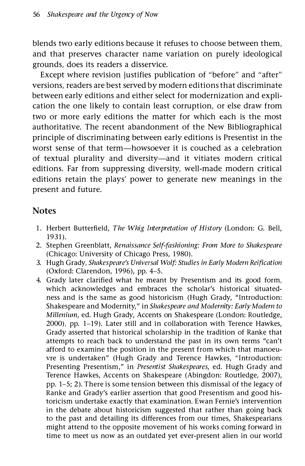blends two early editions because it refuses to choose between them, and that preserves character name variation on purely ideological grounds, does its readers a disservice.

Except where revision justifies publication of "before" and "after" versions, readers are best served by modern editions that discriminate between early editions and either select for modernization and explication the one likely to contain least corruption, or else draw from two or more early editions the matter for which each is the most authoritative. The recent abandonment of the New Bibliographical principle of discriminating between early editions is Presentist in the worst sense of that term-howsoever it is couched as a celebration of textual plurality and diversity-and it vitiates modern critical editions. Far from suppressing diversity, well-made modern critical editions retain the plays' power to generate new meanings in the present and future.

## **Notes**

- 1. Herbert Butterfield, The Whig Interpretation of History (London: G. Bell, 1931).
- 2. Stephen Greenblatt, Renaissance Self-fashioning: From More to Shakespeare (Chicago: University of Chicago Press, 1980).
- 3. Hugh Grady, Shakespeare's Universal Wolf: Studies in Early Modern Reification (Oxford: Clarendon, 1996), pp. 4-5 .
- 4. Grady later clarified what he meant by Presentism and its good form, which acknowledges and embraces the scholar's historical situatedness and is the same as good historicism (Hugh Grady, " Introduction: Shakespeare and Modernity," in Shakespeare and Modernity: Early Modern to Millenium, ed. Hugh Grady, Accents on Shakespeare (London: Routledge, 2000), pp. 1-19). Later still and in collaboration with Terence Hawkes, Grady asserted that historical scholarship in the tradition of Ranke that attempts to reach back to understand the past in its own terms "can't afford to examine the position in the present from which that manoeuvre is undertaken" (Hugh Grady and Terence Hawkes, "Introduction: Presenting Presentism," in Presentist Shakespeares, ed. Hugh Grady and Terence Hawkes, Accents on Shakespeare (Abingdon: Routledge, 2007), pp. 1-5; 2). There is some tension between this dismissal of the legacy of Ranke and Grady's earlier assertion that good Presentism and good historicism undertake exactly that examination. Ewan Fernie's intervention in the debate about historicism suggested that rather than going back to the past and detailing its differences from our times, Shakespearians might attend to the opposite movement of his works coming forward in time to meet us now as an outdated yet ever-present alien in our world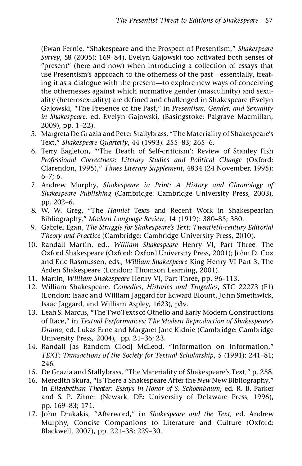(Ewan Fernie, "Shakespeare and the Prospect of Presentism," Shakespeare Survey, 58 (2005): 169-84). Evelyn Gajowski too activated both senses of "present" (here and now) when introducing a collection of essays that use Presentism's approach to the otherness of the past-essentially, treating it as a dialogue with the present—to explore new ways of conceiving the othernesses against which normative gender (masculinity) and sexuality (heterosexuality) are defined and challenged in Shakespeare (Evelyn Gajowski, "The Presence of the Past," in Presentism, Gender, and Sexuality in Shakespeare, ed. Evelyn Gajowski, (Basingstoke: Palgrave Macmillan, 2009), pp. 1-22).

- 5. Margreta De Grazia and Peter Stallybrass, "The Materiality of Shakespeare's Text," Shakespeare Quarterly, 44 (1993): 255-83; 265-6.
- 6. Terry Eagleton, " 'The Death of Self-criticism': Review of Stanley Fish Professional Correctness: Literary Studies and Political Change (Oxford: Clarendon, 1995)," Times Literary Supplement, 4834 (24 November, 1995): 6-7; 6.
- 7. Andrew Murphy, Shakespeare in Print: A History and Chronology of Shakespeare Publishing (Cambridge: Cambridge University Press, 2003), pp. 202-6.
- 8. W. W. Greg, "The Hamlet Texts and Recent Work in Shakespearian Bibliography," Modern Language Review, 14 (1919): 380-85; 380.
- 9. Gabriel Egan, The Struggle for Shakespeare's Text: Twentieth-century Editorial Theory and Practice (Cambridge: Cambridge University Press, 2010).
- 10. Randall Martin, ed., William Shakespeare Henry VI, Part Three, The Oxford Shakespeare (Oxford: Oxford University Press, 2001 ); John D. Cox and Eric Rasmussen, eds., William Shakespeare King Henry VI Part 3, The Arden Shakespeare (London: Thomson Learning, 2001).
- 11. Martin, William Shakespeare Henry VI, Part Three, pp. 96-113.
- 12. William Shakespeare, Comedies, Histories and Tragedies, STC 22273 (F1) (London: Isaac and William Jaggard for Edward Blount, John Smethwick, Isaac Jaggard, and William Aspley, 1623), p3v.
- 13. Leah S. Marcus, "The Two Texts of Othello and Early Modern Constructions of Race," in Textual Performances: The Modern Reproduction of Shakespeare's Drama, ed. Lukas Erne and Margaret Jane Kidnie (Cambridge: Cambridge University Press, 2004), pp. 21-36; 23.
- 14. Randall [as Random Clod] McLeod, " Information on Information," TEXT: Transactions of the Society for Textual Scholarship, 5 (1991): 241-81; 246.
- 15. De Grazia and Stallybrass, "The Materiality of Shakespeare's Text," p. 258.
- 16. Meredith Skura, "Is There a Shakespeare After the New New Bibliography," in Elizabethan Theater: Essays in Honor of S. Schoenbaum, ed. R. B. Parker and S. P. Zitner (Newark, DE: University of Delaware Press, 1996), pp. 169-83; 171.
- 17. John Drakakis, "Afterword," in Shakespeare and the Text, ed. Andrew Murphy, Concise Companions to Literature and Culture (Oxford: Blackwell, 2007), pp. 221-38; 229-30.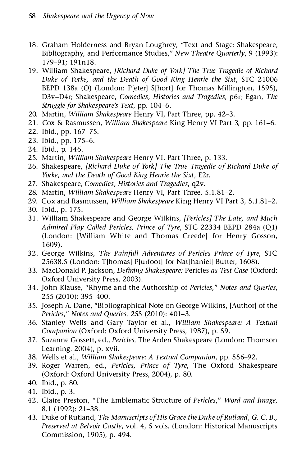- 18. Graham Holderness and Bryan Loughrey, "Text and Stage: Shakespeare, Bibliography, and Performance Studies," New Theatre Quarterly, 9 (1993): 179-91; 191n18.
- 19. Wil liam Shakespeare, [Richard Duke of York] The True Tragedie of Richard Duke of Yorke, and the Death of Good King Henrie the Sixt, STC 2 1006 BEPD 138a (O) (London: P[eter] S[hort] for Thomas Millington, 1595), D3v-D4r; Shakespeare, Comedies, Histories and Tragedies, p6r; Egan, The Struggle for Shakespeare's Text, pp. 104-6.
- 20. Martin, William Shakespeare Henry VI, Part Three, pp. 42-3.
- 21. Cox & Rasmussen, William Shakespeare King Henry VI Part 3, pp. 161–6.
- 22. Ibid., pp. 167-75.
- 23. Ibid., pp. 1 75-6.
- 24. Ibid., p. 146.
- 25. Martin, William Shakespeare Henry VI, Part Three, p. 133.
- 26. Shakespeare, [Richard Duke of York] The True Tragedie of Richard Duke of Yorke, and the Death of Good King Henrie the Sixt, E2r.
- 27. Shakespeare, Comedies, Histories and Tragedies, q2v.
- 28. Martin, William Shakespeare Henry VI, Part Three, 5.1.81-2.
- 29. Cox and Rasmussen, William Shakespeare King Henry VI Part 3, 5.1.81-2.
- 30. Ibid., p. 175.
- 31. William Shakespeare and George Wilkins, [Pericles] The Late, and Much Admired Play Called Pericles, Prince of Tyre, STC 22334 BEPD 284a (O1) (London: [William White and Thomas Creede] for Henry Gosson, 1 609).
- 32. George Wilkins, The Painfull Adventures of Pericles Prince of Tyre, STC 25638.5 (London: T[homas] P[urfoot] for Nat[haniel] Butter, 1608).
- 33. MacDonald P. jackson, Defining Shakespeare: Pericles as Test Case (Oxford: Oxford University Press, 2003).
- 34. John Klause, " Rhyme and the Authorship of Pericles," Notes and Queries, 255 (2010): 395-400.
- 35. joseph A. Dane, "Bibliographical Note on George Wilkins, [Author] of the Pericles," Notes and Queries, 255 (2010): 401-3.
- 36. Stanley Wells and Gary Taylor et al., William Shakespeare: A Textual Companion (Oxford: Oxford University Press, 1987), p. 59.
- 37. Suzanne Gossett, ed., Pericles, The Arden Shakespeare (London: Thomson Learning, 2004), p. xvii.
- 38. Wells et al., William Shakespeare: A Textual Companion, pp. 556-92.
- 39. Roger Warren, ed., Pericles, Prince of Tyre, The Oxford Shakespeare (Oxford: Oxford University Press, 2004), p. 80.
- 40. Ibid., p. 80.
- 41. Ibid., p. 3.
- 42. Claire Preston, "The Emblematic Structure of Pericles," Word and Image, 8.1 (1992): 21-38.
- 43. Duke of Rutland, The Manuscripts of His Grace the Duke of Rutland, G. C. B., Preserved at Belvoir Castle, vol. 4, 5 vols. (London: Historical Manuscripts Commission, 1905), p. 494.